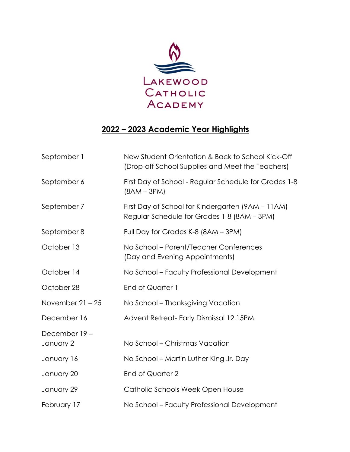

## **2022 – 2023 Academic Year Highlights**

| September 1               | New Student Orientation & Back to School Kick-Off<br>(Drop-off School Supplies and Meet the Teachers) |
|---------------------------|-------------------------------------------------------------------------------------------------------|
| September 6               | First Day of School - Regular Schedule for Grades 1-8<br>$(8AM - 3PM)$                                |
| September 7               | First Day of School for Kindergarten (9AM – 11AM)<br>Regular Schedule for Grades 1-8 (8AM - 3PM)      |
| September 8               | Full Day for Grades K-8 (8AM - 3PM)                                                                   |
| October 13                | No School – Parent/Teacher Conferences<br>(Day and Evening Appointments)                              |
| October 14                | No School - Faculty Professional Development                                                          |
| October 28                | End of Quarter 1                                                                                      |
| November $21 - 25$        | No School – Thanksgiving Vacation                                                                     |
| December 16               | Advent Retreat-Early Dismissal 12:15PM                                                                |
| December 19-<br>January 2 | No School – Christmas Vacation                                                                        |
| January 16                | No School – Martin Luther King Jr. Day                                                                |
|                           |                                                                                                       |
| January 20                | <b>End of Quarter 2</b>                                                                               |
| January 29                | Catholic Schools Week Open House                                                                      |
| February 17               | No School - Faculty Professional Development                                                          |